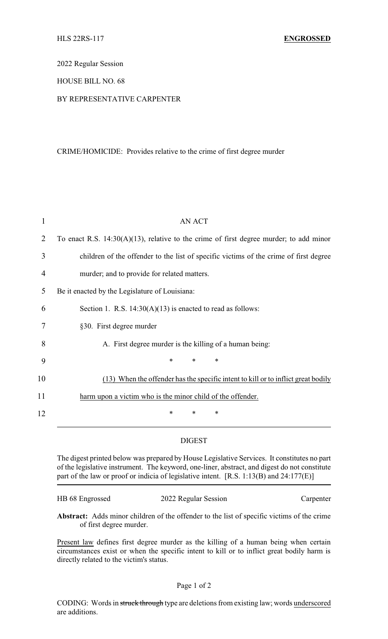2022 Regular Session

## HOUSE BILL NO. 68

# BY REPRESENTATIVE CARPENTER

### CRIME/HOMICIDE: Provides relative to the crime of first degree murder

| 1  | <b>AN ACT</b>                                                                             |
|----|-------------------------------------------------------------------------------------------|
| 2  | To enact R.S. $14:30(A)(13)$ , relative to the crime of first degree murder; to add minor |
| 3  | children of the offender to the list of specific victims of the crime of first degree     |
| 4  | murder; and to provide for related matters.                                               |
| 5  | Be it enacted by the Legislature of Louisiana:                                            |
| 6  | Section 1. R.S. $14:30(A)(13)$ is enacted to read as follows:                             |
| 7  | §30. First degree murder                                                                  |
| 8  | A. First degree murder is the killing of a human being:                                   |
| 9  | $\ast$<br>$\ast$<br>*                                                                     |
| 10 | (13) When the offender has the specific intent to kill or to inflict great bodily         |
| 11 | harm upon a victim who is the minor child of the offender.                                |
| 12 | ∗<br>∗<br>*                                                                               |

## DIGEST

The digest printed below was prepared by House Legislative Services. It constitutes no part of the legislative instrument. The keyword, one-liner, abstract, and digest do not constitute part of the law or proof or indicia of legislative intent. [R.S. 1:13(B) and 24:177(E)]

| HB 68 Engrossed | 2022 Regular Session | Carpenter |
|-----------------|----------------------|-----------|
|                 |                      |           |

**Abstract:** Adds minor children of the offender to the list of specific victims of the crime of first degree murder.

Present law defines first degree murder as the killing of a human being when certain circumstances exist or when the specific intent to kill or to inflict great bodily harm is directly related to the victim's status.

### Page 1 of 2

CODING: Words in struck through type are deletions from existing law; words underscored are additions.